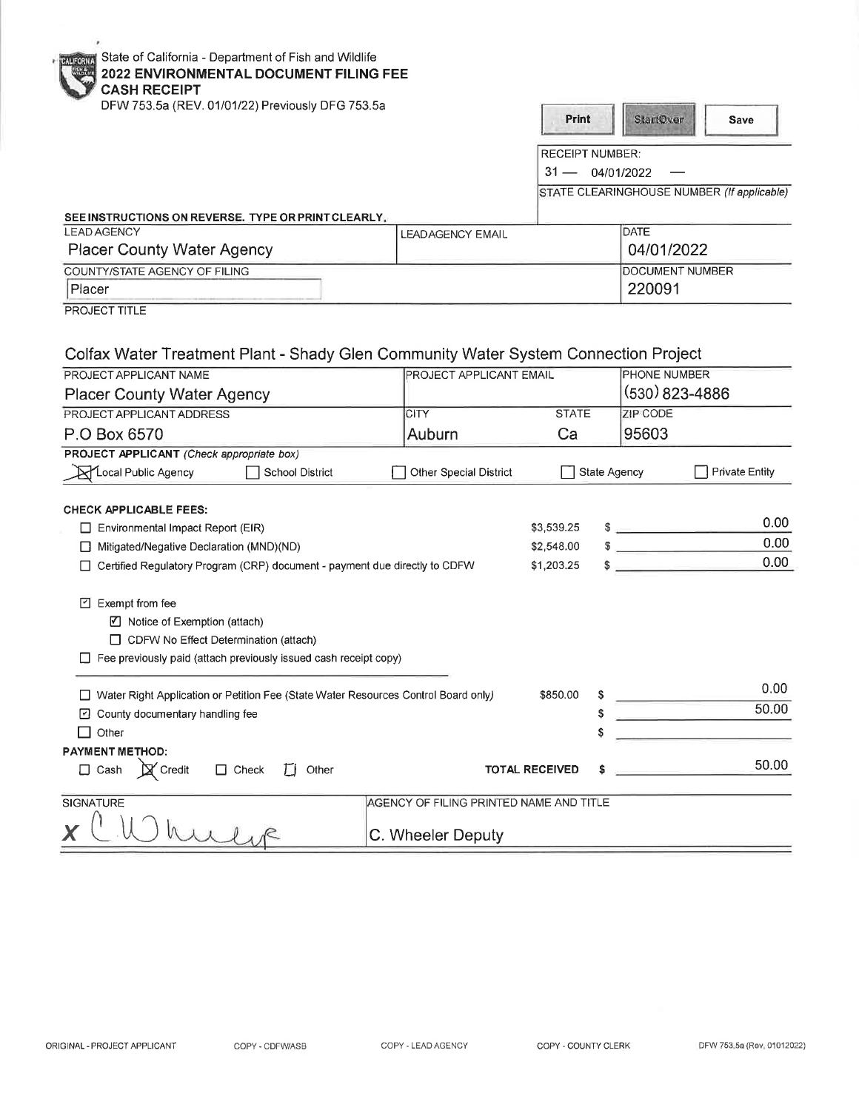|  | <b>PALLORIAN</b> State of California - Department of Fish and Wildlife |
|--|------------------------------------------------------------------------|
|--|------------------------------------------------------------------------|

 $\epsilon$ 

## · · **2022 ENVIRONMENTAL DOCUMENT FILING FEE**

| <b>CASH RECEIPT</b>                                                                  |                                         |                                            |              |                                   |                       |
|--------------------------------------------------------------------------------------|-----------------------------------------|--------------------------------------------|--------------|-----------------------------------|-----------------------|
| DFW 753.5a (REV. 01/01/22) Previously DFG 753.5a                                     |                                         | Print                                      |              | <b>StartOwer</b>                  | Save                  |
|                                                                                      |                                         | <b>RECEIPT NUMBER:</b>                     |              |                                   |                       |
|                                                                                      |                                         | $31 -$<br>04/01/2022                       |              |                                   |                       |
|                                                                                      |                                         | STATE CLEARINGHOUSE NUMBER (If applicable) |              |                                   |                       |
|                                                                                      |                                         |                                            |              |                                   |                       |
| SEE INSTRUCTIONS ON REVERSE. TYPE OR PRINT CLEARLY.<br><b>LEAD AGENCY</b>            | <b>LEADAGENCY EMAIL</b>                 |                                            |              | <b>DATE</b>                       |                       |
| <b>Placer County Water Agency</b>                                                    |                                         |                                            |              | 04/01/2022                        |                       |
| COUNTY/STATE AGENCY OF FILING                                                        |                                         |                                            |              | DOCUMENT NUMBER                   |                       |
| Placer                                                                               |                                         |                                            |              | 220091                            |                       |
| PROJECT TITLE                                                                        |                                         |                                            |              |                                   |                       |
|                                                                                      |                                         |                                            |              |                                   |                       |
|                                                                                      |                                         |                                            |              |                                   |                       |
| Colfax Water Treatment Plant - Shady Glen Community Water System Connection Project  |                                         |                                            |              |                                   |                       |
| PROJECT APPLICANT NAME                                                               |                                         | PROJECT APPLICANT EMAIL                    |              | PHONE NUMBER                      |                       |
| <b>Placer County Water Agency</b>                                                    |                                         |                                            |              | (530) 823-4886                    |                       |
| PROJECT APPLICANT ADDRESS                                                            | <b>CITY</b>                             | <b>STATE</b>                               |              | ZIP CODE                          |                       |
| P.O Box 6570                                                                         | Auburn                                  | Ca                                         |              | 95603                             |                       |
| PROJECT APPLICANT (Check appropriate box)                                            |                                         |                                            |              |                                   |                       |
| ALocal Public Agency<br><b>School District</b>                                       | Other Special District                  |                                            | State Agency |                                   | <b>Private Entity</b> |
|                                                                                      |                                         |                                            |              |                                   |                       |
| <b>CHECK APPLICABLE FEES:</b>                                                        |                                         |                                            |              |                                   |                       |
| Environmental Impact Report (EIR)                                                    |                                         | \$3,539.25                                 |              | $\frac{1}{2}$                     | 0.00                  |
| Mitigated/Negative Declaration (MND)(ND)                                             |                                         | \$2,548.00                                 |              | <b>Contract Contract Contract</b> | 0.00                  |
| Certified Regulatory Program (CRP) document - payment due directly to CDFW           |                                         | \$1,203.25                                 |              |                                   | 0.00                  |
|                                                                                      |                                         |                                            |              |                                   |                       |
| $\Box$ Exempt from fee                                                               |                                         |                                            |              |                                   |                       |
| ☑ Notice of Exemption (attach)                                                       |                                         |                                            |              |                                   |                       |
| CDFW No Effect Determination (attach)                                                |                                         |                                            |              |                                   |                       |
| Fee previously paid (attach previously issued cash receipt copy)                     |                                         |                                            |              |                                   |                       |
|                                                                                      |                                         | \$850.00                                   |              |                                   | 0.00                  |
| □ Water Right Application or Petition Fee (State Water Resources Control Board only) |                                         |                                            | \$           |                                   | 50.00                 |
| D County documentary handling fee                                                    |                                         |                                            | ፍ            |                                   |                       |
| $\Box$ Other                                                                         |                                         |                                            |              |                                   |                       |
| <b>PAYMENT METHOD:</b>                                                               |                                         |                                            |              |                                   | 50.00                 |
| X Credit<br>$\square$ Cash<br>$\Box$ Check<br>ТJ<br>Other                            |                                         | <b>TOTAL RECEIVED</b>                      |              |                                   |                       |
| SIGNATURE                                                                            | AGENCY OF FILING PRINTED NAME AND TITLE |                                            |              |                                   |                       |
|                                                                                      |                                         |                                            |              |                                   |                       |
| Wulse                                                                                | C. Wheeler Deputy                       |                                            |              |                                   |                       |